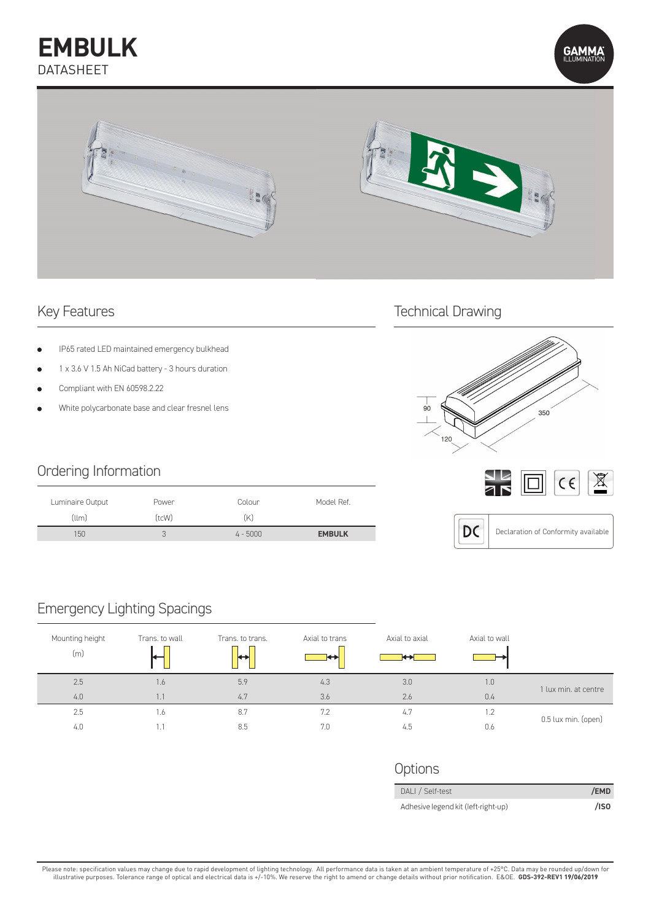## **EMBULK** DATASHEET





- IP65 rated LED maintained emergency bulkhead
- 1 x 3.6 V 1.5 Ah NiCad battery 3 hours duration
- Compliant with EN 60598.2.22
- White polycarbonate base and clear fresnel lens

### Ordering Information

| Luminaire Output | Power        | Colour     | Model Ref.    |
|------------------|--------------|------------|---------------|
| $(l \mid m)$     | (tcW)        | (K)        |               |
| 150              | $\prec$<br>U | $4 - 5000$ | <b>EMBULK</b> |

# Key Features Technical Drawing







### Declaration of Conformity available

### Emergency Lighting Spacings

| Mounting height<br>(m) | Trans, to wall | Trans, to trans.<br>þ | Axial to trans<br>þ | Axial to axial<br>⊷ | Axial to wall |                      |
|------------------------|----------------|-----------------------|---------------------|---------------------|---------------|----------------------|
| 2.5                    | 1.6            | 5.9                   | 4.3                 | 3.0                 | 1.0           | 1 lux min. at centre |
| 4.0                    | IJ             | 4.7                   | 3.6                 | 2.6                 | 0.4           |                      |
| 2.5                    | 1.6            | 8.7                   | 7.2                 | 4.7                 | 1.2           |                      |
| 4.0                    | 1.1            | 8.5                   | 7.0                 | 4.5                 | 0.6           | 0.5 lux min. (open)  |

| Options |
|---------|
|---------|

| DALI / Self-test                    | /EMD    |
|-------------------------------------|---------|
| Adhesive legend kit (left-right-up) | $/$ ISO |